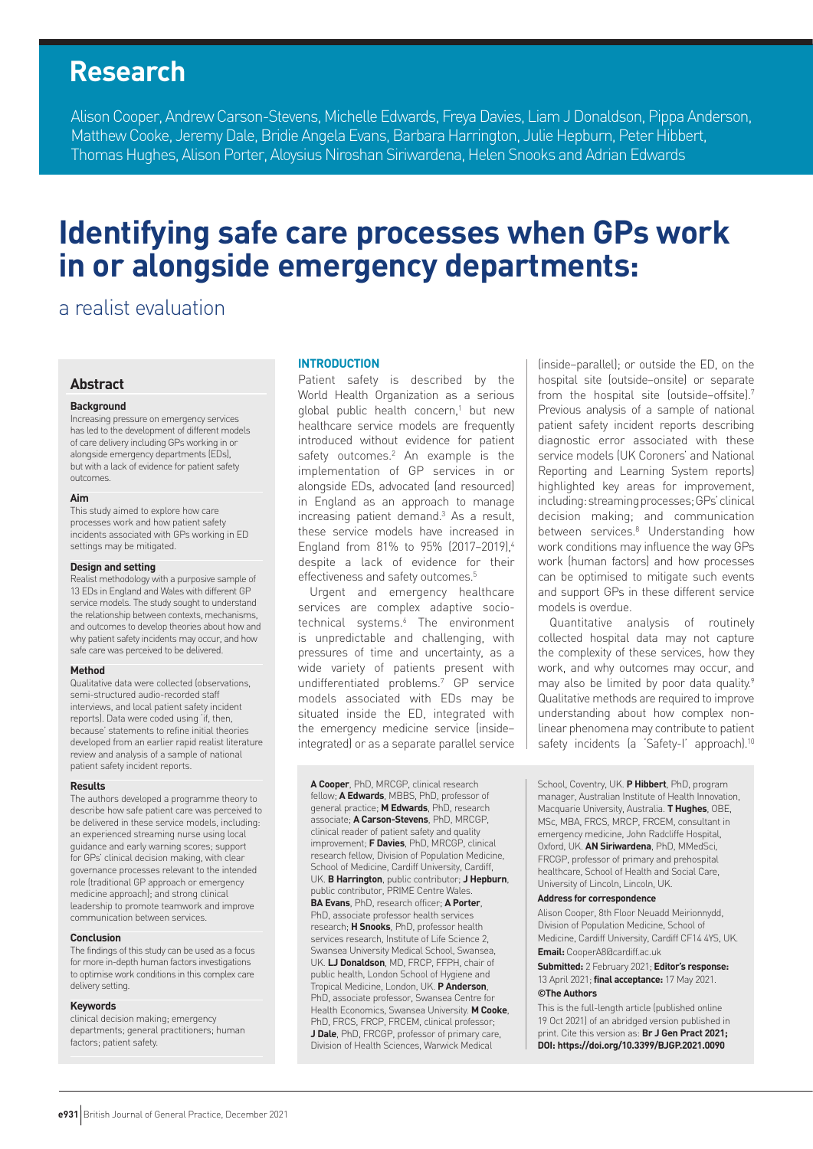## **Research**

Alison Cooper, Andrew Carson-Stevens, Michelle Edwards, Freya Davies, Liam J Donaldson, Pippa Anderson, Matthew Cooke, Jeremy Dale, Bridie Angela Evans, Barbara Harrington, Julie Hepburn, Peter Hibbert, Thomas Hughes, Alison Porter, Aloysius Niroshan Siriwardena, Helen Snooks and Adrian Edwards

# **Identifying safe care processes when GPs work in or alongside emergency departments:**

## a realist evaluation

#### **Abstract**

#### **Background**

Increasing pressure on emergency services has led to the development of different models of care delivery including GPs working in or alongside emergency departments (EDs), but with a lack of evidence for patient safety outcomes.

#### **Aim**

This study aimed to explore how care processes work and how patient safety incidents associated with GPs working in ED settings may be mitigated.

#### **Design and setting**

Realist methodology with a purposive sample of 13 EDs in England and Wales with different GP service models. The study sought to understand the relationship between contexts, mechanisms, and outcomes to develop theories about how and why patient safety incidents may occur, and how safe care was perceived to be delivered.

#### **Method**

Qualitative data were collected (observations, semi-structured audio-recorded staff interviews, and local patient safety incident reports). Data were coded using 'if, then, because' statements to refine initial theories developed from an earlier rapid realist literature review and analysis of a sample of national patient safety incident reports.

#### **Results**

The authors developed a programme theory to describe how safe patient care was perceived to be delivered in these service models, including: an experienced streaming nurse using local guidance and early warning scores; support for GPs' clinical decision making, with clear governance processes relevant to the intended role (traditional GP approach or emergency medicine approach); and strong clinical leadership to promote teamwork and improve communication between services.

#### **Conclusion**

The findings of this study can be used as a focus for more in-depth human factors investigations to optimise work conditions in this complex care delivery setting.

#### **Keywords**

clinical decision making; emergency departments; general practitioners; human factors; patient safety.

#### **INTRODUCTION**

Patient safety is described by the World Health Organization as a serious global public health concern,<sup>1</sup> but new healthcare service models are frequently introduced without evidence for patient safety outcomes.<sup>2</sup> An example is the implementation of GP services in or alongside EDs, advocated (and resourced) in England as an approach to manage increasing patient demand.<sup>3</sup> As a result, these service models have increased in England from 81% to 95% (2017-2019).<sup>4</sup> despite a lack of evidence for their effectiveness and safety outcomes.<sup>5</sup>

Urgent and emergency healthcare services are complex adaptive sociotechnical systems.<sup>6</sup> The environment is unpredictable and challenging, with pressures of time and uncertainty, as a wide variety of patients present with undifferentiated problems.7 GP service models associated with EDs may be situated inside the ED, integrated with the emergency medicine service (inside– integrated) or as a separate parallel service

**A Cooper**, PhD, MRCGP, clinical research fellow; **A Edwards**, MBBS, PhD, professor of general practice; **M Edwards**, PhD, research associate; **A Carson-Stevens**, PhD, MRCGP, clinical reader of patient safety and quality improvement; **F Davies**, PhD, MRCGP, clinical research fellow, Division of Population Medicine, School of Medicine, Cardiff University, Cardiff, UK. **B Harrington**, public contributor; **J Hepburn**, public contributor, PRIME Centre Wales. **BA Evans**, PhD, research officer; **A Porter**, PhD, associate professor health services research; **H Snooks**, PhD, professor health services research, Institute of Life Science 2, Swansea University Medical School, Swansea, UK. **LJ Donaldson**, MD, FRCP, FFPH, chair of public health, London School of Hygiene and Tropical Medicine, London, UK. **P Anderson**, PhD, associate professor, Swansea Centre for Health Economics, Swansea University. **M Cooke**, PhD, FRCS, FRCP, FRCEM, clinical professor; **J Dale**, PhD, FRCGP, professor of primary care, Division of Health Sciences, Warwick Medical

(inside–parallel); or outside the ED, on the hospital site (outside–onsite) or separate from the hospital site (outside–offsite).7 Previous analysis of a sample of national patient safety incident reports describing diagnostic error associated with these service models (UK Coroners' and National Reporting and Learning System reports) highlighted key areas for improvement, including: streaming processes; GPs' clinical decision making; and communication between services.8 Understanding how work conditions may influence the way GPs work (human factors) and how processes can be optimised to mitigate such events and support GPs in these different service models is overdue.

Quantitative analysis of routinely collected hospital data may not capture the complexity of these services, how they work, and why outcomes may occur, and may also be limited by poor data quality.<sup>9</sup> Qualitative methods are required to improve understanding about how complex nonlinear phenomena may contribute to patient safety incidents (a 'Safety-I' approach).<sup>10</sup>

School, Coventry, UK. **P Hibbert**, PhD, program manager, Australian Institute of Health Innovation, Macquarie University, Australia. **T Hughes**, OBE, MSc, MBA, FRCS, MRCP, FRCEM, consultant in emergency medicine, John Radcliffe Hospital, Oxford, UK. **AN Siriwardena**, PhD, MMedSci, FRCGP, professor of primary and prehospital healthcare, School of Health and Social Care, University of Lincoln, Lincoln, UK.

#### **Address for correspondence**

Alison Cooper, 8th Floor Neuadd Meirionnydd, Division of Population Medicine, School of Medicine, Cardiff University, Cardiff CF14 4YS, UK. **Email:** CooperA8@cardiff.ac.uk

**Submitted:** 2 February 2021; **Editor's response:** 13 April 2021; **final acceptance:** 17 May 2021. **©The Authors**

This is the full-length article (published online 19 Oct 2021) of an abridged version published in print. Cite this version as: **Br J Gen Pract 2021; DOI: https://doi.org/10.3399/BJGP.2021.0090**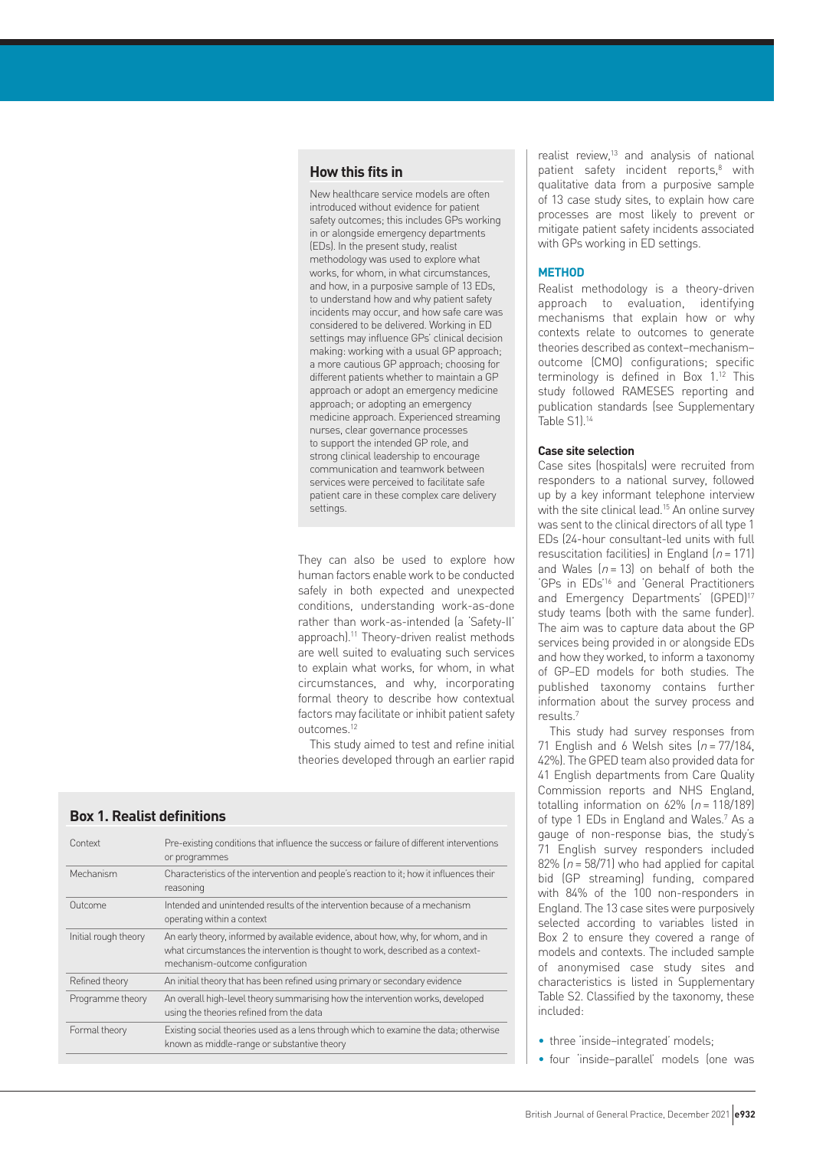#### **How this fits in**

New healthcare service models are often introduced without evidence for patient safety outcomes; this includes GPs working in or alongside emergency departments (EDs). In the present study, realist methodology was used to explore what works, for whom, in what circumstances, and how, in a purposive sample of 13 EDs, to understand how and why patient safety incidents may occur, and how safe care was considered to be delivered. Working in ED settings may influence GPs' clinical decision making: working with a usual GP approach; a more cautious GP approach; choosing for different patients whether to maintain a GP approach or adopt an emergency medicine approach; or adopting an emergency medicine approach. Experienced streaming nurses, clear governance processes to support the intended GP role, and strong clinical leadership to encourage communication and teamwork between services were perceived to facilitate safe patient care in these complex care delivery settings.

They can also be used to explore how human factors enable work to be conducted safely in both expected and unexpected conditions, understanding work-as-done rather than work-as-intended (a 'Safety-II' approach).<sup>11</sup> Theory-driven realist methods are well suited to evaluating such services to explain what works, for whom, in what circumstances, and why, incorporating formal theory to describe how contextual factors may facilitate or inhibit patient safety outcomes<sup>12</sup>

This study aimed to test and refine initial theories developed through an earlier rapid

| Context              | Pre-existing conditions that influence the success or failure of different interventions<br>or programmes                                                                                               |
|----------------------|---------------------------------------------------------------------------------------------------------------------------------------------------------------------------------------------------------|
| Mechanism            | Characteristics of the intervention and people's reaction to it; how it influences their<br>reasoning                                                                                                   |
| Outcome              | Intended and unintended results of the intervention because of a mechanism<br>operating within a context                                                                                                |
| Initial rough theory | An early theory, informed by available evidence, about how, why, for whom, and in<br>what circumstances the intervention is thought to work, described as a context-<br>mechanism-outcome configuration |
| Refined theory       | An initial theory that has been refined using primary or secondary evidence                                                                                                                             |
| Programme theory     | An overall high-level theory summarising how the intervention works, developed<br>using the theories refined from the data                                                                              |
| Formal theory        | Existing social theories used as a lens through which to examine the data; otherwise<br>known as middle-range or substantive theory                                                                     |
|                      |                                                                                                                                                                                                         |

**Box 1. Realist definitions**

realist review,<sup>13</sup> and analysis of national patient safety incident reports,<sup>8</sup> with qualitative data from a purposive sample of 13 case study sites, to explain how care processes are most likely to prevent or mitigate patient safety incidents associated with GPs working in ED settings.

#### **METHOD**

Realist methodology is a theory-driven approach to evaluation, identifying mechanisms that explain how or why contexts relate to outcomes to generate theories described as context–mechanism– outcome (CMO) configurations; specific terminology is defined in Box 1.12 This study followed RAMESES reporting and publication standards (see Supplementary Table S1).14

#### **Case site selection**

Case sites (hospitals) were recruited from responders to a national survey, followed up by a key informant telephone interview with the site clinical lead.<sup>15</sup> An online survey was sent to the clinical directors of all type 1 EDs (24-hour consultant-led units with full resuscitation facilities) in England  $(n = 171)$ and Wales  $[n = 13]$  on behalf of both the 'GPs in EDs'16 and 'General Practitioners and Emergency Departments' (GPED)<sup>17</sup> study teams (both with the same funder). The aim was to capture data about the GP services being provided in or alongside EDs and how they worked, to inform a taxonomy of GP–ED models for both studies. The published taxonomy contains further information about the survey process and results.7

This study had survey responses from 71 English and 6 Welsh sites  $(n = 77/184)$ , 42%). The GPED team also provided data for 41 English departments from Care Quality Commission reports and NHS England, totalling information on 62%  $(n = 118/189)$ of type 1 EDs in England and Wales.<sup>7</sup> As a gauge of non-response bias, the study's 71 English survey responders included 82% ( $n = 58/71$ ) who had applied for capital bid (GP streaming) funding, compared with 84% of the 100 non-responders in England. The 13 case sites were purposively selected according to variables listed in Box 2 to ensure they covered a range of models and contexts. The included sample of anonymised case study sites and characteristics is listed in Supplementary Table S2. Classified by the taxonomy, these included:

• three 'inside-integrated' models;

• four 'inside–parallel' models (one was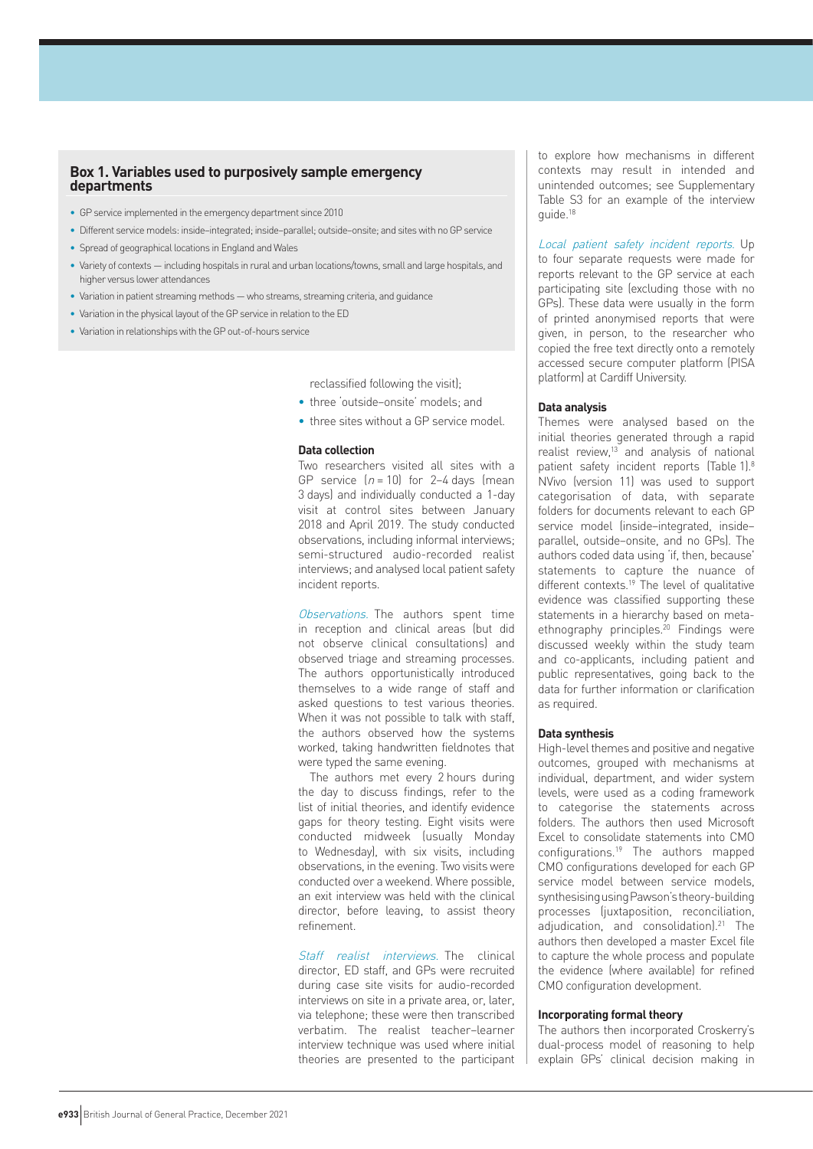#### **Box 1. Variables used to purposively sample emergency departments**

- GP service implemented in the emergency department since 2010
- Different service models: inside–integrated; inside–parallel; outside–onsite; and sites with no GP service
- Spread of geographical locations in England and Wales
- Variety of contexts including hospitals in rural and urban locations/towns, small and large hospitals, and higher versus lower attendances
- Variation in patient streaming methods who streams, streaming criteria, and guidance
- Variation in the physical layout of the GP service in relation to the ED
- Variation in relationships with the GP out-of-hours service

reclassified following the visit);

• three 'outside–onsite' models; and

• three sites without a GP service model.

#### **Data collection**

Two researchers visited all sites with a GP service  $(n = 10)$  for 2-4 days (mean 3 days) and individually conducted a 1-day visit at control sites between January 2018 and April 2019. The study conducted observations, including informal interviews; semi-structured audio-recorded realist interviews; and analysed local patient safety incident reports.

Observations. The authors spent time in reception and clinical areas (but did not observe clinical consultations) and observed triage and streaming processes. The authors opportunistically introduced themselves to a wide range of staff and asked questions to test various theories. When it was not possible to talk with staff, the authors observed how the systems worked, taking handwritten fieldnotes that were typed the same evening.

The authors met every 2 hours during the day to discuss findings, refer to the list of initial theories, and identify evidence gaps for theory testing. Eight visits were conducted midweek (usually Monday to Wednesday), with six visits, including observations, in the evening. Two visits were conducted over a weekend. Where possible, an exit interview was held with the clinical director, before leaving, to assist theory refinement.

Staff realist interviews. The clinical director, ED staff, and GPs were recruited during case site visits for audio-recorded interviews on site in a private area, or, later, via telephone; these were then transcribed verbatim. The realist teacher–learner interview technique was used where initial theories are presented to the participant to explore how mechanisms in different contexts may result in intended and unintended outcomes; see Supplementary Table S3 for an example of the interview guide.18

Local patient safety incident reports. Up to four separate requests were made for reports relevant to the GP service at each participating site (excluding those with no GPs). These data were usually in the form of printed anonymised reports that were given, in person, to the researcher who copied the free text directly onto a remotely accessed secure computer platform (PISA platform) at Cardiff University.

#### **Data analysis**

Themes were analysed based on the initial theories generated through a rapid realist review,<sup>13</sup> and analysis of national patient safety incident reports (Table 1).8 NVivo (version 11) was used to support categorisation of data, with separate folders for documents relevant to each GP service model (inside–integrated, inside– parallel, outside–onsite, and no GPs). The authors coded data using 'if, then, because' statements to capture the nuance of different contexts.19 The level of qualitative evidence was classified supporting these statements in a hierarchy based on metaethnography principles.<sup>20</sup> Findings were discussed weekly within the study team and co-applicants, including patient and public representatives, going back to the data for further information or clarification as required.

#### **Data synthesis**

High-level themes and positive and negative outcomes, grouped with mechanisms at individual, department, and wider system levels, were used as a coding framework to categorise the statements across folders. The authors then used Microsoft Excel to consolidate statements into CMO configurations.19 The authors mapped CMO configurations developed for each GP service model between service models, synthesising using Pawson's theory-building processes (juxtaposition, reconciliation, adjudication, and consolidation).<sup>21</sup> The authors then developed a master Excel file to capture the whole process and populate the evidence (where available) for refined CMO configuration development.

#### **Incorporating formal theory**

The authors then incorporated Croskerry's dual-process model of reasoning to help explain GPs' clinical decision making in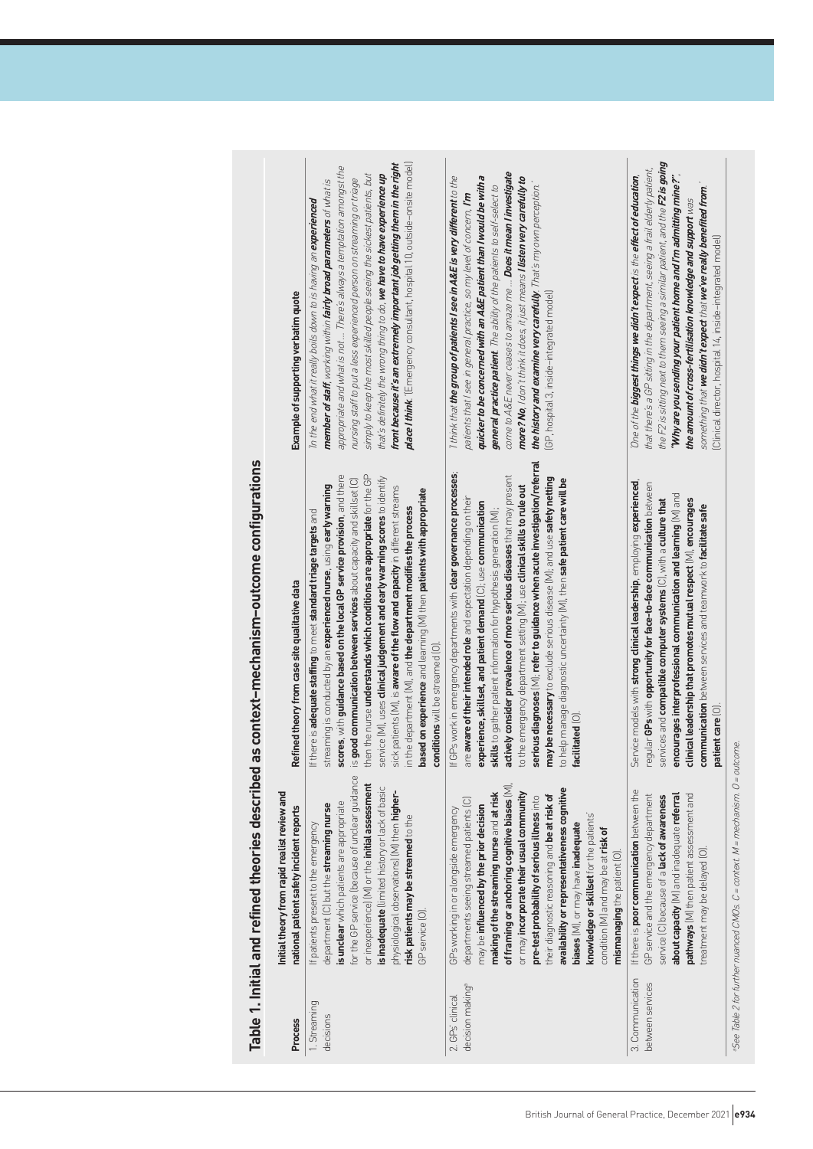|                                                 | Example of supporting verbatim quote                                                     | place I think. '[Emergency consultant, hospital 10, outside-onsite model]<br>front because it's an extremely important job getting them in the right<br>appropriate and what is not  There's always a temptation amongst the<br>that's definitely the wrong thing to do, we have to have experience up<br>simply to keep the most skilled people seeing the sickest patients, but<br>nursing staff to put a less experienced person on streaming or triage<br>member of staff, working within fairly broad parameters of what is<br>In the end what it really boils down to is having an experienced                                                                                                                          | come to A&E never ceases to amaze me  Does it mean I investigate<br>I think that the group of patients I see in A&E is very different to the<br>quicker to be concerned with an A&E patient than I would be with a<br>more? No, I don't think it does, it just means <b>I listen very carefully to</b><br>general practice patient. The ability of the patients to self-select to<br>the history and examine very carefully. That's my own perception.<br>patients that I see in general practice, so my level of concern, <b>I'm</b><br>GP, hospital 3, inside-integrated model)                                                                                                                                    | the F2 is sitting next to them seeing a similar patient, and the F2 is going<br>that there's a GP sitting in the department, seeing a frail elderly patient,<br>'Why are you sending your patient home and I'm admitting mine?"<br>One of the biggest things we didn't expect is the effect of education,<br>something that we didn't expect that we've really benefited from.<br>the amount of cross-fertilisation knowledge and support $\kappa$ as<br>Clinical director, hospital 14, inside-integrated model) |                                                                                  |
|-------------------------------------------------|------------------------------------------------------------------------------------------|-------------------------------------------------------------------------------------------------------------------------------------------------------------------------------------------------------------------------------------------------------------------------------------------------------------------------------------------------------------------------------------------------------------------------------------------------------------------------------------------------------------------------------------------------------------------------------------------------------------------------------------------------------------------------------------------------------------------------------|----------------------------------------------------------------------------------------------------------------------------------------------------------------------------------------------------------------------------------------------------------------------------------------------------------------------------------------------------------------------------------------------------------------------------------------------------------------------------------------------------------------------------------------------------------------------------------------------------------------------------------------------------------------------------------------------------------------------|-------------------------------------------------------------------------------------------------------------------------------------------------------------------------------------------------------------------------------------------------------------------------------------------------------------------------------------------------------------------------------------------------------------------------------------------------------------------------------------------------------------------|----------------------------------------------------------------------------------|
| d as context-mechanism-outcome configurations   | Refined theory from case site qualitative data                                           | then the nurse understands which conditions are appropriate for the GP<br>scores, with guidance based on the local GP service provision, and there<br>service [M], uses <b>clinical judgement and early warning scores</b> to identify<br>is good communication between services about capacity and skillset [C]<br>streaming is conducted by an <b>experienced nurse</b> , using early warning<br>sick patients [M], is aware of the flow and capacity in different streams<br>based on experience and learning (M) then patients with appropriate<br>in the department (M), and the department modifies the process<br>If there is adequate staffing to meet standard triage targets and<br>conditions will be streamed (O) | serious diagnoses [M], refer to guidance when acute investigation/referral<br>If GPs work in emergency departments with <b>clear governance processes</b> ;<br>actively consider prevalence of more serious diseases that may present<br>may be necessary to exclude serious disease [M]; and use safety netting<br>to help manage diagnostic uncertainty (M), then safe patient care will be<br>to the emergency department setting [M]; use <b>clinical skills to rule out</b><br>are aware of their intended role and expectation depending on their<br>experience, skillset, and patient demand (C); use communication<br>skills to gather patient information for hypothesis generation [M];<br>facilitated [0] | Service models with strong clinical leadership, employing experienced,<br>reqular GPs with opportunity for face-to-face communication between<br>encourages interprofessional communication and learning $[M]$ and<br>clinical leadership that promotes mutual respect $[M]$ , encourages<br>services and compatible computer systems $(C)$ , with a culture that<br>communication between services and teamwork to facilitate safe<br>patient care [0]                                                           |                                                                                  |
| Table 1. Initial and refined theories described | Initial theory from rapid realist review and<br>national patient safety incident reports | for the GP service (because of unclear guidance<br>or inexperience] [M] or the initial assessment<br>is inadequate (limited history or lack of basic<br>physiological observations) [M] then higher-<br>is unclear which patients are appropriate<br>department (C) but the streaming nurse<br>risk patients may be streamed to the<br>If patients present to the emergency<br>GP service [0]                                                                                                                                                                                                                                                                                                                                 | of framing or anchoring cognitive biases (M),<br>availability or representativeness cognitive<br>making of the streaming nurse and at risk<br>or may incorporate their usual community<br>their diagnostic reasoning and be at risk of<br>pre-test probability of serious illness into<br>departments seeing streamed patients (C)<br>may be influenced by the prior decision<br>GPs working in or alongside emergency<br>knowledge or skillset for the patients'<br>biases (M), or may have inadequate<br>condition [M] and may be at risk of<br>mismanaging the patient (O).                                                                                                                                       | If there is <b>poor communication</b> between the<br>about capacity [M] and inadequate referral<br>pathways [M] then patient assessment and<br>GP service and the emergency department<br>service (C) because of a lack of awareness<br>treatment may be delayed [O]                                                                                                                                                                                                                                              | a-See Table 2 for further nuanced CMOs. C = context. M = mechanism. O = outcome. |
|                                                 | Process                                                                                  | 1. Streaming<br>decisions                                                                                                                                                                                                                                                                                                                                                                                                                                                                                                                                                                                                                                                                                                     | decision making <sup>a</sup><br>2. GPs' clinical                                                                                                                                                                                                                                                                                                                                                                                                                                                                                                                                                                                                                                                                     | 3. Communication<br>between services                                                                                                                                                                                                                                                                                                                                                                                                                                                                              |                                                                                  |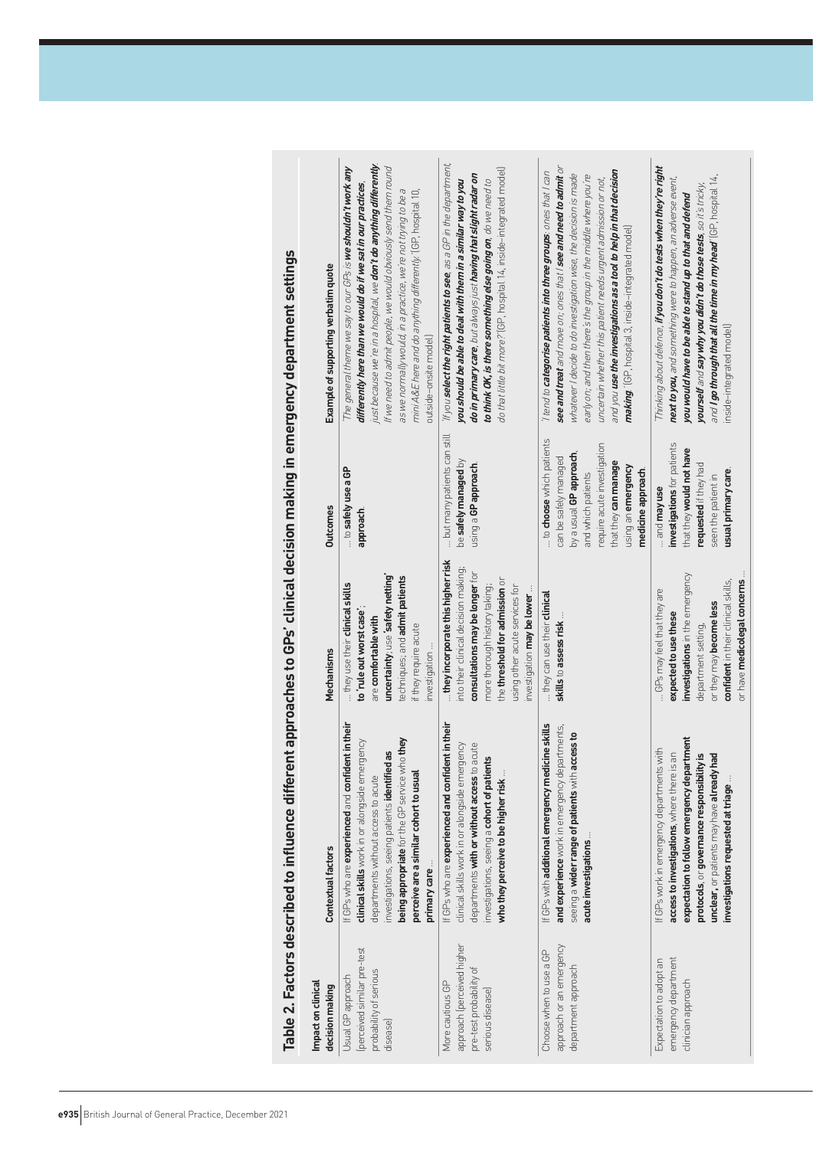|                                                                                               | lahus urber 1999 lahus dan 1999 lahus di keluar di keluar di keluar di keluar di keluar di keluar di keluar di mengentuk di keluar di keluar di keluar di keluar di keluar di keluar di keluar di keluar di keluar di keluar d                                                                         |                                                                                                                                                                                                                                                 |                                                                                                                                                                                                       |                                                                                                                                                                                                                                                                                                                                                                                                                                                                              |
|-----------------------------------------------------------------------------------------------|--------------------------------------------------------------------------------------------------------------------------------------------------------------------------------------------------------------------------------------------------------------------------------------------------------|-------------------------------------------------------------------------------------------------------------------------------------------------------------------------------------------------------------------------------------------------|-------------------------------------------------------------------------------------------------------------------------------------------------------------------------------------------------------|------------------------------------------------------------------------------------------------------------------------------------------------------------------------------------------------------------------------------------------------------------------------------------------------------------------------------------------------------------------------------------------------------------------------------------------------------------------------------|
| Impact on clinical<br>decision making                                                         | <b>Contextual factors</b>                                                                                                                                                                                                                                                                              | Mechanisms                                                                                                                                                                                                                                      | <b>Outcomes</b>                                                                                                                                                                                       | Example of supporting verbatim quote                                                                                                                                                                                                                                                                                                                                                                                                                                         |
| (perceived similar pre-test<br>probability of serious<br>Usual GP approach<br>disease)        | If GPs who are experienced and confident in their<br>being appropriate for the GP service who they<br>clinical skills work in or alongside emergency<br>investigations, seeing patients identified as<br>perceive are a similar cohort to usual<br>departments without access to acute<br>primary care | uncertainty; use safety netting<br>techniques; and admit patients<br>they use their <b>dinical skills</b><br>to 'rule out worst case'<br>are comfortable with<br>if they require acute<br>investigation                                         | to safely use a GP<br>approach.                                                                                                                                                                       | just because we re in a hospital, we <b>don't do anything differently</b><br>The general theme we say to our GPs is we shouldn't work any<br>If we need to admit people, we would obviously send them round<br>differently here than we would do if we sat in our practices,<br>as we normally would, in a practice, we're not trying to be a<br>mini A&E here and do anything differently. '(GP, hospital 10,<br>outside-onsite model                                       |
| approach (perceived higher<br>pre-test probability of<br>More cautious GP<br>serious disease) | If GPs who are experienced and confident in their<br>departments with or without access to acute<br>clinical skills work in or alongside emergency<br>investigations, seeing a cohort of patients<br>who they perceive to be higher risk                                                               | they incorporate this higher risk<br>into their clinical decision making;<br>consultations may be longer for<br>the threshold for admission or<br>more thorough history taking;<br>using other acute services for<br>investigation may be lower | but many patients can still<br>be safely managed by<br>using a GP approach.                                                                                                                           | If you select the right patients to see, as a GP in the department,<br>do that little bit more?' (GP, hospital 14, inside-integrated model)<br>do in primary care, but always just having that slight radar on<br>to think OK, is there something else going on, do we need to<br>you should be able to deal with them in a similar way to you                                                                                                                               |
| approach or an emergency<br>Choose when to use a GP<br>department approach                    | If GPs with additional emergency medicine skills<br>and experience work in emergency departments,<br>seeing a wider range of patients with access to<br>acute investigations                                                                                                                           | they can use their clinical<br>skills to assess risk                                                                                                                                                                                            | to choose which patients<br>require acute investigation<br>by a usual GP approach,<br>can be safely managed<br>that they can manage<br>using an emergency<br>medicine approach.<br>and which patients | see and treat and move on; ones that I see and need to admit or<br>and you <b>use the investigations as a tool to help in that decision</b><br>I tend to categorise patients into three groups: ones that I can<br>whatever I decide to do investigation wise, the decision is made<br>early on; and then there's the group in the middle where you're<br>uncertain whether this patient needs urgent admission or not,<br>making: (GP, hospital 3, inside-integrated model) |
| emergency department<br>Expectation to adopt an<br>clinician approach                         | expectation to follow emergency department<br>If GPs work in emergency departments with<br>access to investigations, where there is an<br>protocols, or governance responsibility is<br>had<br>unclear, or patients may have already!<br>investigations requested at triage.                           | investigations in the emergency<br>or have medicolegal concerns.<br>confident in their clinical skills,<br>GPs may feel that they are<br>or they may become less<br>expected to use these<br>department setting,                                | investigations for patients<br>that they would not have<br>requested if they had<br>usual primary care.<br>seen the patient in<br>and may use                                                         | Thinking about defence, if you don't do tests when they're right<br>and I go through that all the time in my head (GP, hospital 14,<br>next to you, and something were to happen, an adverse event,<br>yourself and say why you didn't do those tests, so it's tricky,<br>you would have to be able to stand up to that and defend<br>inside-integrated model)                                                                                                               |

**Table 2. Factors described to influence different approaches to GPs' clinical decision making in emergency department settings** Table 2. Fartors described to influence different approaches to GPs' clinical decision making in emergency denartment settings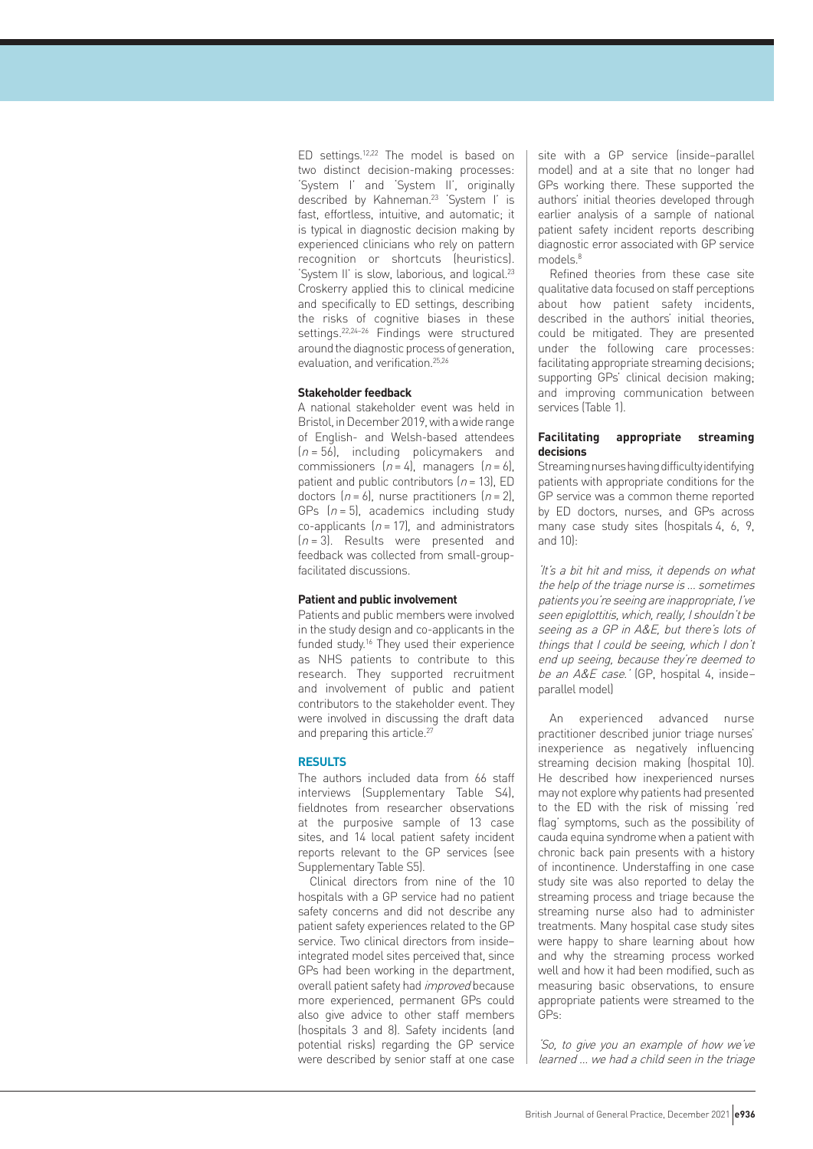ED settings.12,22 The model is based on two distinct decision-making processes: 'System I' and 'System II', originally described by Kahneman.23 'System I' is fast, effortless, intuitive, and automatic; it is typical in diagnostic decision making by experienced clinicians who rely on pattern recognition or shortcuts (heuristics). 'System II' is slow, laborious, and logical.<sup>23</sup> Croskerry applied this to clinical medicine and specifically to ED settings, describing the risks of cognitive biases in these settings.22,24–26 Findings were structured around the diagnostic process of generation, evaluation, and verification.25,26

#### **Stakeholder feedback**

A national stakeholder event was held in Bristol, in December 2019, with a wide range of English- and Welsh-based attendees  $(n = 56)$ , including policymakers and commissioners  $(n = 4)$ , managers  $(n = 6)$ , patient and public contributors  $(n = 13)$ , ED doctors  $(n = 6)$ , nurse practitioners  $(n = 2)$ , GPs  $(n = 5)$ , academics including study co-applicants  $(n = 17)$ , and administrators  $(n = 3)$ . Results were presented and feedback was collected from small-groupfacilitated discussions.

#### **Patient and public involvement**

Patients and public members were involved in the study design and co-applicants in the funded study.<sup>16</sup> They used their experience as NHS patients to contribute to this research. They supported recruitment and involvement of public and patient contributors to the stakeholder event. They were involved in discussing the draft data and preparing this article.<sup>27</sup>

#### **RESULTS**

The authors included data from 66 staff interviews (Supplementary Table S4), fieldnotes from researcher observations at the purposive sample of 13 case sites, and 14 local patient safety incident reports relevant to the GP services (see Supplementary Table S5).

Clinical directors from nine of the 10 hospitals with a GP service had no patient safety concerns and did not describe any patient safety experiences related to the GP service. Two clinical directors from inside– integrated model sites perceived that, since GPs had been working in the department, overall patient safety had *improved* because more experienced, permanent GPs could also give advice to other staff members (hospitals 3 and 8). Safety incidents (and potential risks) regarding the GP service were described by senior staff at one case

site with a GP service (inside–parallel model) and at a site that no longer had GPs working there. These supported the authors' initial theories developed through earlier analysis of a sample of national patient safety incident reports describing diagnostic error associated with GP service models.8

Refined theories from these case site qualitative data focused on staff perceptions about how patient safety incidents, described in the authors' initial theories, could be mitigated. They are presented under the following care processes: facilitating appropriate streaming decisions; supporting GPs' clinical decision making; and improving communication between services (Table 1).

#### **Facilitating appropriate streaming decisions**

Streaming nurses having difficulty identifying patients with appropriate conditions for the GP service was a common theme reported by ED doctors, nurses, and GPs across many case study sites (hospitals 4, 6, 9, and 10):

'It's a bit hit and miss, it depends on what the help of the triage nurse is … sometimes patients you're seeing are inappropriate, I've seen epiglottitis, which, really, I shouldn't be seeing as a GP in A&E, but there's lots of things that I could be seeing, which I don't end up seeing, because they're deemed to be an A&E case.' (GP, hospital 4, insideparallel model)

An experienced advanced nurse practitioner described junior triage nurses' inexperience as negatively influencing streaming decision making (hospital 10). He described how inexperienced nurses may not explore why patients had presented to the ED with the risk of missing 'red flag' symptoms, such as the possibility of cauda equina syndrome when a patient with chronic back pain presents with a history of incontinence. Understaffing in one case study site was also reported to delay the streaming process and triage because the streaming nurse also had to administer treatments. Many hospital case study sites were happy to share learning about how and why the streaming process worked well and how it had been modified, such as measuring basic observations, to ensure appropriate patients were streamed to the GPs:

'So, to give you an example of how we've learned … we had a child seen in the triage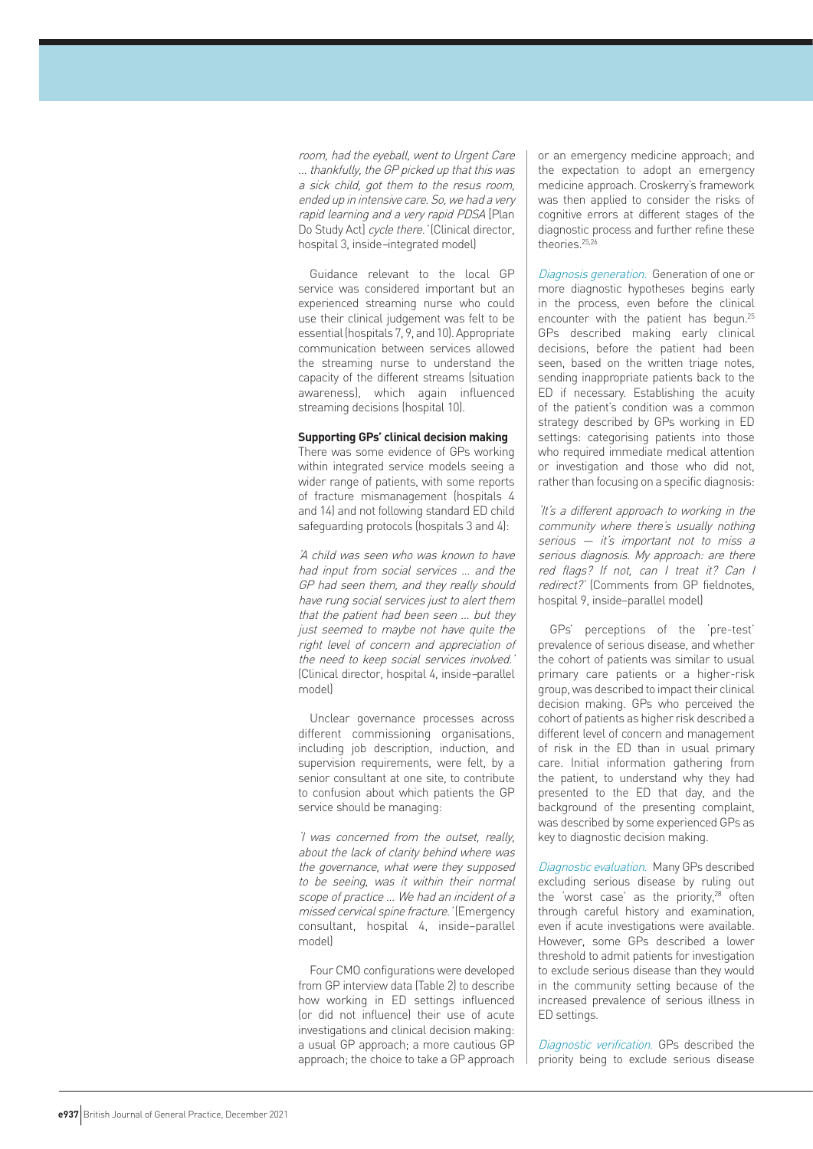room, had the eyeball, went to Urgent Care … thankfully, the GP picked up that this was a sick child, got them to the resus room, ended up in intensive care. So, we had a very rapid learning and a very rapid PDSA [Plan Do Study Act] cycle there.' (Clinical director, hospital 3, inside–integrated model)

Guidance relevant to the local GP service was considered important but an experienced streaming nurse who could use their clinical judgement was felt to be essential (hospitals 7, 9, and 10). Appropriate communication between services allowed the streaming nurse to understand the capacity of the different streams (situation awareness), which again influenced streaming decisions (hospital 10).

#### **Supporting GPs' clinical decision making**

There was some evidence of GPs working within integrated service models seeing a wider range of patients, with some reports of fracture mismanagement (hospitals 4 and 14) and not following standard ED child safeguarding protocols (hospitals 3 and 4):

'A child was seen who was known to have had input from social services … and the GP had seen them, and they really should have rung social services just to alert them that the patient had been seen … but they just seemed to maybe not have quite the right level of concern and appreciation of the need to keep social services involved.' (Clinical director, hospital 4, inside–parallel model)

Unclear governance processes across different commissioning organisations, including job description, induction, and supervision requirements, were felt, by a senior consultant at one site, to contribute to confusion about which patients the GP service should be managing:

'I was concerned from the outset, really, about the lack of clarity behind where was the governance, what were they supposed to be seeing, was it within their normal scope of practice … We had an incident of a missed cervical spine fracture.' (Emergency consultant, hospital 4, inside–parallel model)

Four CMO configurations were developed from GP interview data (Table 2) to describe how working in ED settings influenced (or did not influence) their use of acute investigations and clinical decision making: a usual GP approach; a more cautious GP approach; the choice to take a GP approach or an emergency medicine approach; and the expectation to adopt an emergency medicine approach. Croskerry's framework was then applied to consider the risks of cognitive errors at different stages of the diagnostic process and further refine these theories.<sup>25,26</sup>

Diagnosis generation. Generation of one or more diagnostic hypotheses begins early in the process, even before the clinical encounter with the patient has begun.<sup>25</sup> GPs described making early clinical decisions, before the patient had been seen, based on the written triage notes, sending inappropriate patients back to the ED if necessary. Establishing the acuity of the patient's condition was a common strategy described by GPs working in ED settings: categorising patients into those who required immediate medical attention or investigation and those who did not, rather than focusing on a specific diagnosis:

'It's a different approach to working in the community where there's usually nothing serious — it's important not to miss a serious diagnosis. My approach: are there red flags? If not, can I treat it? Can I redirect?' (Comments from GP fieldnotes, hospital 9, inside–parallel model)

GPs' perceptions of the 'pre-test' prevalence of serious disease, and whether the cohort of patients was similar to usual primary care patients or a higher-risk group, was described to impact their clinical decision making. GPs who perceived the cohort of patients as higher risk described a different level of concern and management of risk in the ED than in usual primary care. Initial information gathering from the patient, to understand why they had presented to the ED that day, and the background of the presenting complaint, was described by some experienced GPs as key to diagnostic decision making.

Diagnostic evaluation. Many GPs described excluding serious disease by ruling out the 'worst case' as the priority, $28$  often through careful history and examination, even if acute investigations were available. However, some GPs described a lower threshold to admit patients for investigation to exclude serious disease than they would in the community setting because of the increased prevalence of serious illness in ED settings.

Diagnostic verification. GPs described the priority being to exclude serious disease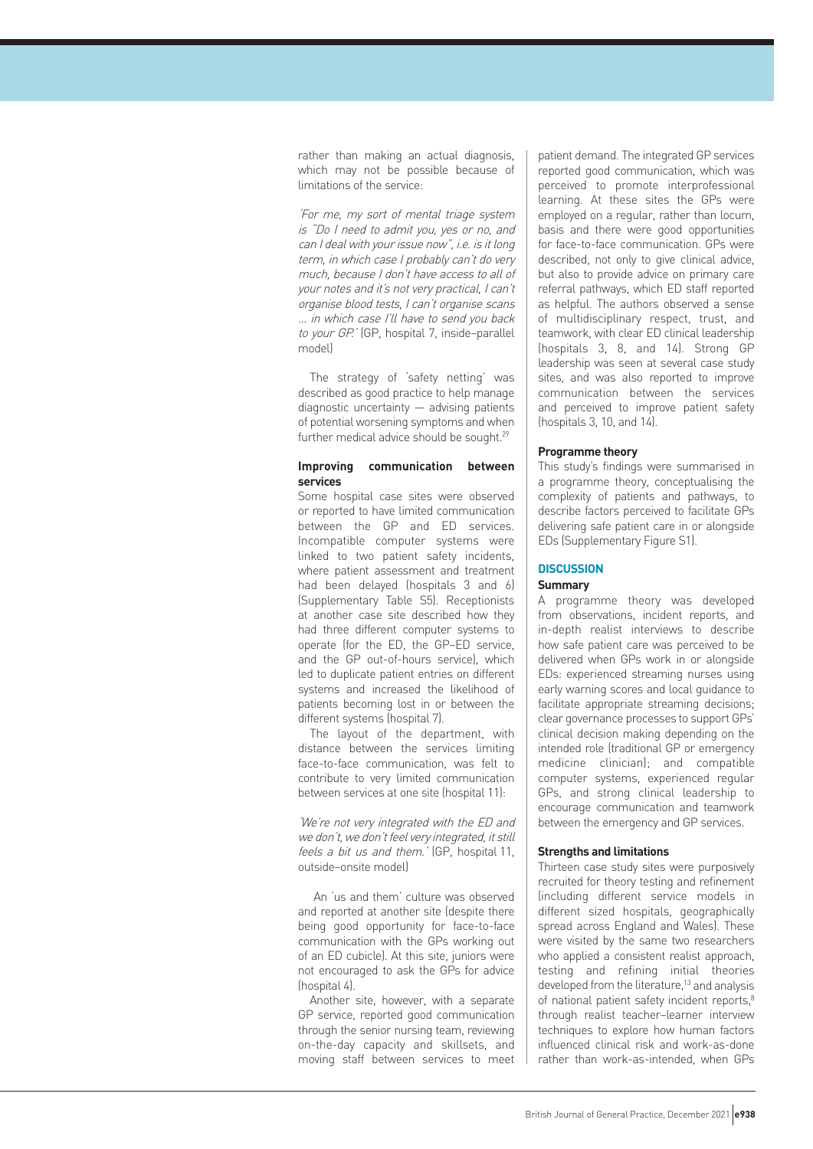rather than making an actual diagnosis, which may not be possible because of limitations of the service:

'For me, my sort of mental triage system is "Do I need to admit you, yes or no, and can I deal with your issue now", i.e. is it long term, in which case I probably can't do very much, because I don't have access to all of your notes and it's not very practical, I can't organise blood tests, I can't organise scans … in which case I'll have to send you back to your GP.' (GP, hospital 7, inside–parallel model)

The strategy of 'safety netting' was described as good practice to help manage diagnostic uncertainty — advising patients of potential worsening symptoms and when further medical advice should be sought.<sup>29</sup>

#### **Improving communication between services**

Some hospital case sites were observed or reported to have limited communication between the GP and ED services. Incompatible computer systems were linked to two patient safety incidents, where patient assessment and treatment had been delayed (hospitals 3 and 6) (Supplementary Table S5). Receptionists at another case site described how they had three different computer systems to operate (for the ED, the GP–ED service, and the GP out-of-hours service), which led to duplicate patient entries on different systems and increased the likelihood of patients becoming lost in or between the different systems (hospital 7).

The layout of the department, with distance between the services limiting face-to-face communication, was felt to contribute to very limited communication between services at one site (hospital 11):

'We're not very integrated with the ED and we don't, we don't feel very integrated, it still feels a bit us and them.' (GP, hospital 11, outside–onsite model)

 An 'us and them' culture was observed and reported at another site (despite there being good opportunity for face-to-face communication with the GPs working out of an ED cubicle). At this site, juniors were not encouraged to ask the GPs for advice (hospital 4).

Another site, however, with a separate GP service, reported good communication through the senior nursing team, reviewing on-the-day capacity and skillsets, and moving staff between services to meet patient demand. The integrated GP services reported good communication, which was perceived to promote interprofessional learning. At these sites the GPs were employed on a regular, rather than locum, basis and there were good opportunities for face-to-face communication. GPs were described, not only to give clinical advice, but also to provide advice on primary care referral pathways, which ED staff reported as helpful. The authors observed a sense of multidisciplinary respect, trust, and teamwork, with clear ED clinical leadership (hospitals 3, 8, and 14). Strong GP leadership was seen at several case study sites, and was also reported to improve communication between the services and perceived to improve patient safety (hospitals 3, 10, and 14).

#### **Programme theory**

This study's findings were summarised in a programme theory, conceptualising the complexity of patients and pathways, to describe factors perceived to facilitate GPs delivering safe patient care in or alongside EDs (Supplementary Figure S1).

#### **DISCUSSION**

#### **Summary**

A programme theory was developed from observations, incident reports, and in-depth realist interviews to describe how safe patient care was perceived to be delivered when GPs work in or alongside EDs: experienced streaming nurses using early warning scores and local guidance to facilitate appropriate streaming decisions; clear governance processes to support GPs' clinical decision making depending on the intended role (traditional GP or emergency medicine clinician); and compatible computer systems, experienced regular GPs, and strong clinical leadership to encourage communication and teamwork between the emergency and GP services.

#### **Strengths and limitations**

Thirteen case study sites were purposively recruited for theory testing and refinement (including different service models in different sized hospitals, geographically spread across England and Wales). These were visited by the same two researchers who applied a consistent realist approach, testing and refining initial theories developed from the literature,13 and analysis of national patient safety incident reports.<sup>8</sup> through realist teacher–learner interview techniques to explore how human factors influenced clinical risk and work-as-done rather than work-as-intended, when GPs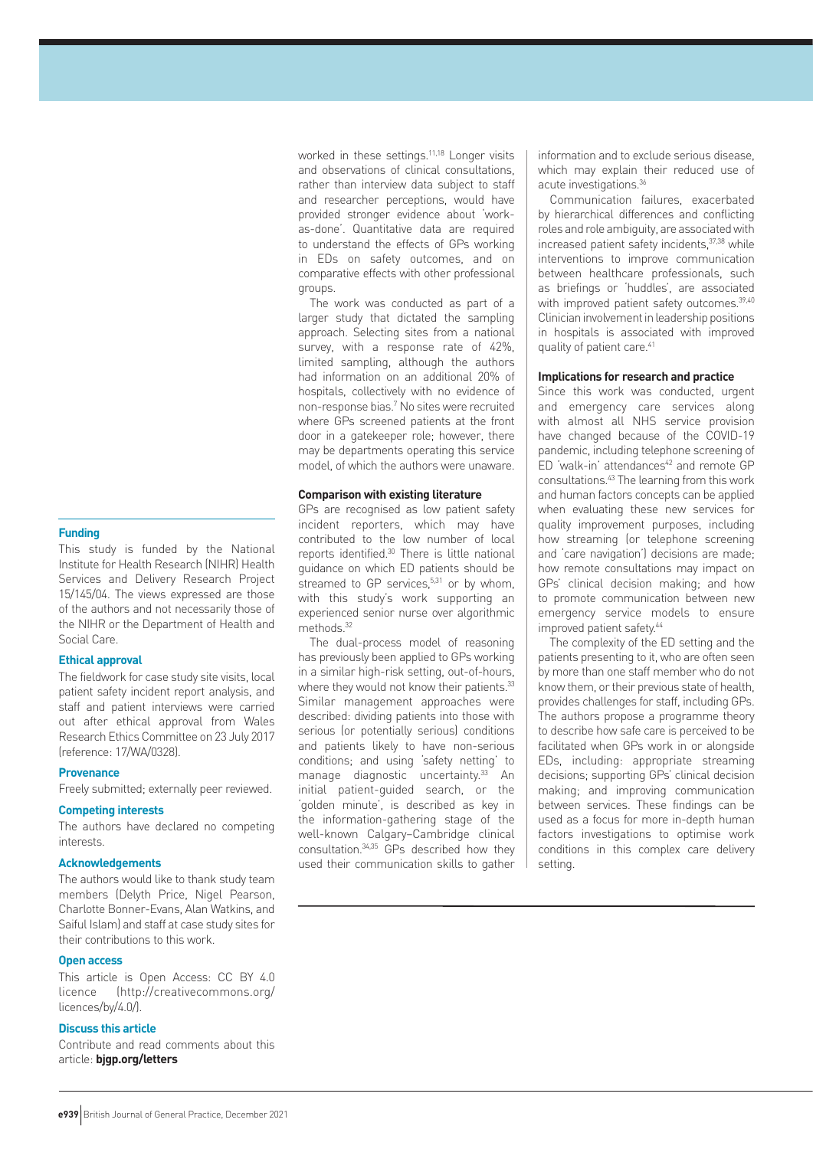#### **Funding**

This study is funded by the National Institute for Health Research (NIHR) Health Services and Delivery Research Project 15/145/04. The views expressed are those of the authors and not necessarily those of the NIHR or the Department of Health and Social Care.

#### **Ethical approval**

The fieldwork for case study site visits, local patient safety incident report analysis, and staff and patient interviews were carried out after ethical approval from Wales Research Ethics Committee on 23 July 2017 (reference: 17/WA/0328).

#### **Provenance**

Freely submitted; externally peer reviewed.

#### **Competing interests**

The authors have declared no competing interests.

#### **Acknowledgements**

The authors would like to thank study team members (Delyth Price, Nigel Pearson, Charlotte Bonner-Evans, Alan Watkins, and Saiful Islam) and staff at case study sites for their contributions to this work.

#### **Open access**

This article is Open Access: CC BY 4.0 licence (http://creativecommons.org/ licences/by/4.0/).

#### **Discuss this article**

Contribute and read comments about this article: **bjgp.org/letters**

worked in these settings.<sup>11,18</sup> Longer visits and observations of clinical consultations, rather than interview data subject to staff and researcher perceptions, would have provided stronger evidence about 'workas-done'. Quantitative data are required to understand the effects of GPs working in EDs on safety outcomes, and on comparative effects with other professional groups.

The work was conducted as part of a larger study that dictated the sampling approach. Selecting sites from a national survey, with a response rate of 42%, limited sampling, although the authors had information on an additional 20% of hospitals, collectively with no evidence of non-response bias.7 No sites were recruited where GPs screened patients at the front door in a gatekeeper role; however, there may be departments operating this service model, of which the authors were unaware.

#### **Comparison with existing literature**

GPs are recognised as low patient safety incident reporters, which may have contributed to the low number of local reports identified.30 There is little national guidance on which ED patients should be streamed to GP services, $5,31$  or by whom, with this study's work supporting an experienced senior nurse over algorithmic methods.32

The dual-process model of reasoning has previously been applied to GPs working in a similar high-risk setting, out-of-hours, where they would not know their patients.<sup>33</sup> Similar management approaches were described: dividing patients into those with serious (or potentially serious) conditions and patients likely to have non-serious conditions; and using 'safety netting' to manage diagnostic uncertainty.<sup>33</sup> An initial patient-guided search, or the 'golden minute', is described as key in the information-gathering stage of the well-known Calgary–Cambridge clinical consultation.34,35 GPs described how they used their communication skills to gather information and to exclude serious disease, which may explain their reduced use of acute investigations.36

Communication failures, exacerbated by hierarchical differences and conflicting roles and role ambiguity, are associated with increased patient safety incidents, 37,38 while interventions to improve communication between healthcare professionals, such as briefings or 'huddles', are associated with improved patient safety outcomes.<sup>39,40</sup> Clinician involvement in leadership positions in hospitals is associated with improved quality of patient care.<sup>41</sup>

#### **Implications for research and practice**

Since this work was conducted, urgent and emergency care services along with almost all NHS service provision have changed because of the COVID-19 pandemic, including telephone screening of ED 'walk-in' attendances<sup>42</sup> and remote GP consultations.43 The learning from this work and human factors concepts can be applied when evaluating these new services for quality improvement purposes, including how streaming (or telephone screening and 'care navigation') decisions are made; how remote consultations may impact on GPs' clinical decision making; and how to promote communication between new emergency service models to ensure improved patient safety.<sup>44</sup>

The complexity of the ED setting and the patients presenting to it, who are often seen by more than one staff member who do not know them, or their previous state of health, provides challenges for staff, including GPs. The authors propose a programme theory to describe how safe care is perceived to be facilitated when GPs work in or alongside EDs, including: appropriate streaming decisions; supporting GPs' clinical decision making; and improving communication between services. These findings can be used as a focus for more in-depth human factors investigations to optimise work conditions in this complex care delivery setting.